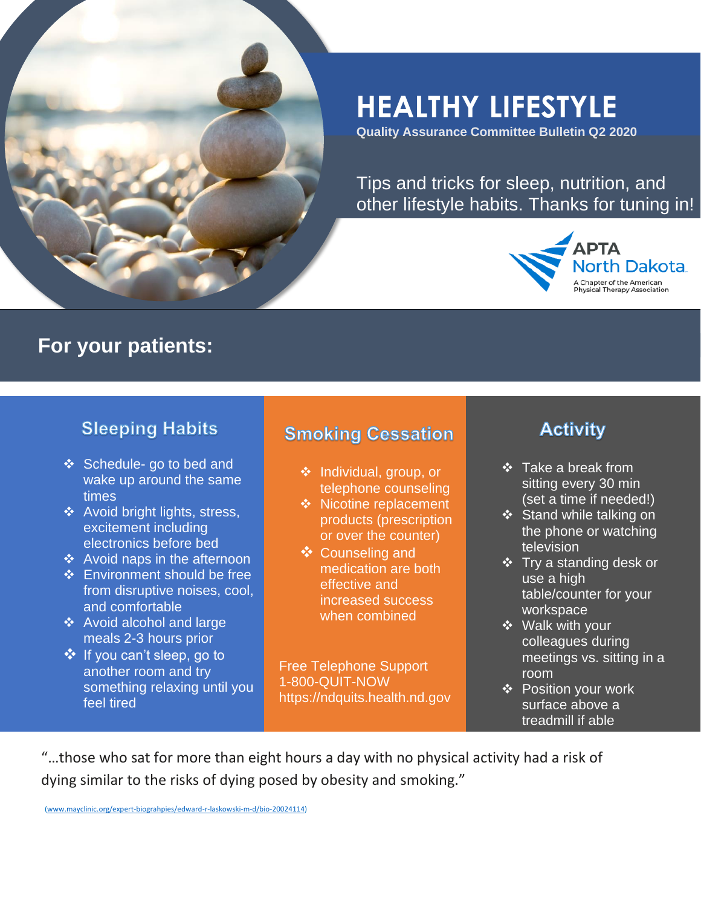

# **HEALTHY LIFESTYLE**

**Quality Assurance Committee Bulletin Q2 2020**

Tips and tricks for sleep, nutrition, and other lifestyle habits. Thanks for tuning in!



## **For your patients:**

#### **Sleeping Habits**

- ❖ Schedule- go to bed and wake up around the same times
- ❖ Avoid bright lights, stress, excitement including electronics before bed
- ❖ Avoid naps in the afternoon
- ❖ Environment should be free from disruptive noises, cool, and comfortable
- ❖ Avoid alcohol and large meals 2-3 hours prior
- ❖ If you can't sleep, go to another room and try something relaxing until you feel tired

## **Smoking Cessation**

- ❖ Individual, group, or telephone counseling
- ❖ Nicotine replacement products (prescription or over the counter)
- ❖ Counseling and medication are both effective and increased success when combined

Free Telephone Support 1-800-QUIT-NOW https://ndquits.health.nd.gov

## **Activity**

- ❖ Take a break from sitting every 30 min (set a time if needed!)
- ❖ Stand while talking on the phone or watching television
- $\div$  Try a standing desk or use a high table/counter for your workspace
- ❖ Walk with your colleagues during meetings vs. sitting in a room
- ❖ Position your work surface above a treadmill if able

"…those who sat for more than eight hours a day with no physical activity had a risk of dying similar to the risks of dying posed by obesity and smoking."

[\(www.mayclinic.org/expert-biograhpies/edward-r-laskowski-m-d/bio-20024114\)](http://www.mayclinic.org/expert-biograhpies/edward-r-laskowski-m-d/bio-20024114)